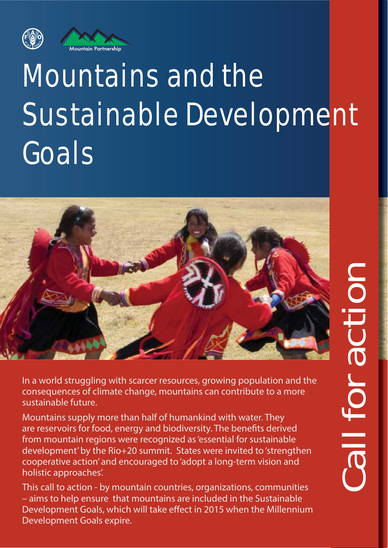

# Mountains and the Sustainable Development **Goals**



In a world struggling with scarcer resources, growing population and the consequences of climate change, mountains can contribute to a more sustainable future.

Mountains supply more than half of humankind with water. They are reservoirs for food, energy and biodiversity. The benefits derived from mountain regions were recognized as 'essential for sustainable development' by the Rio+20 summit. States were invited to 'strengthen cooperative action' and encouraged to 'adopt a long-term vision and holistic approaches'.

This call to action - by mountain countries, organizations, communities – aims to help ensure that mountains are included in the Sustainable Development Goals, which will take effect in 2015 when the Millennium Development Goals expire.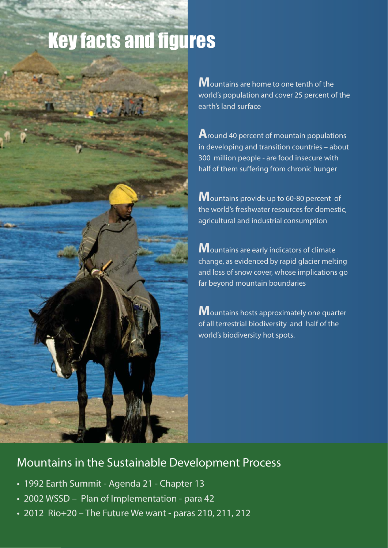# **Key facts and figures**



**M**ountains are home to one tenth of the world's population and cover 25 percent of the earth's land surface

**A**round 40 percent of mountain populations in developing and transition countries – about 300 million people - are food insecure with half of them suffering from chronic hunger

**M**ountains provide up to 60-80 percent of the world's freshwater resources for domestic, agricultural and industrial consumption

**M**ountains are early indicators of climate change, as evidenced by rapid glacier melting and loss of snow cover, whose implications go far beyond mountain boundaries

**M**ountains hosts approximately one quarter of all terrestrial biodiversity and half of the world's biodiversity hot spots.

### Mountains in the Sustainable Development Process

- 1992 Earth Summit Agenda 21 Chapter 13
- 2002 WSSD Plan of Implementation para 42
- $\cdot$  2012 Rio+20 The Future We want paras 210, 211, 212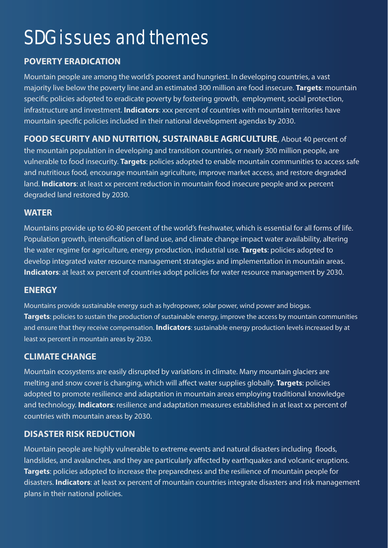### SDG issues and themes

#### **POVERTY ERADICATION**

Mountain people are among the world's poorest and hungriest. In developing countries, a vast majority live below the poverty line and an estimated 300 million are food insecure. **Targets**: mountain specific policies adopted to eradicate poverty by fostering growth, employment, social protection, infrastructure and investment. **Indicators**: xxx percent of countries with mountain territories have mountain specific policies included in their national development agendas by 2030.

**FOOD SECURITY AND NUTRITION, SUSTAINABLE AGRICULTURE**, About 40 percent of the mountain population in developing and transition countries, or nearly 300 million people, are vulnerable to food insecurity. **Targets**: policies adopted to enable mountain communities to access safe and nutritious food, encourage mountain agriculture, improve market access, and restore degraded land. **Indicators**: at least xx percent reduction in mountain food insecure people and xx percent degraded land restored by 2030.

#### **WATER**

Mountains provide up to 60-80 percent of the world's freshwater, which is essential for all forms of life. Population growth, intensification of land use, and climate change impact water availability, altering the water regime for agriculture, energy production, industrial use. **Targets**: policies adopted to develop integrated water resource management strategies and implementation in mountain areas. **Indicators**: at least xx percent of countries adopt policies for water resource management by 2030.

#### **ENERGY**

Mountains provide sustainable energy such as hydropower, solar power, wind power and biogas. **Targets**: policies to sustain the production of sustainable energy, improve the access by mountain communities and ensure that they receive compensation. **Indicators**: sustainable energy production levels increased by at least xx percent in mountain areas by 2030.

#### **CLIMATE CHANGE**

Mountain ecosystems are easily disrupted by variations in climate. Many mountain glaciers are melting and snow cover is changing, which will affect water supplies globally. **Targets**: policies adopted to promote resilience and adaptation in mountain areas employing traditional knowledge and technology. **Indicators**: resilience and adaptation measures established in at least xx percent of countries with mountain areas by 2030.

#### **DISASTER RISK REDUCTION**

Mountain people are highly vulnerable to extreme events and natural disasters including floods, landslides, and avalanches, and they are particularly affected by earthquakes and volcanic eruptions. **Targets**: policies adopted to increase the preparedness and the resilience of mountain people for disasters. **Indicators**: at least xx percent of mountain countries integrate disasters and risk management plans in their national policies.